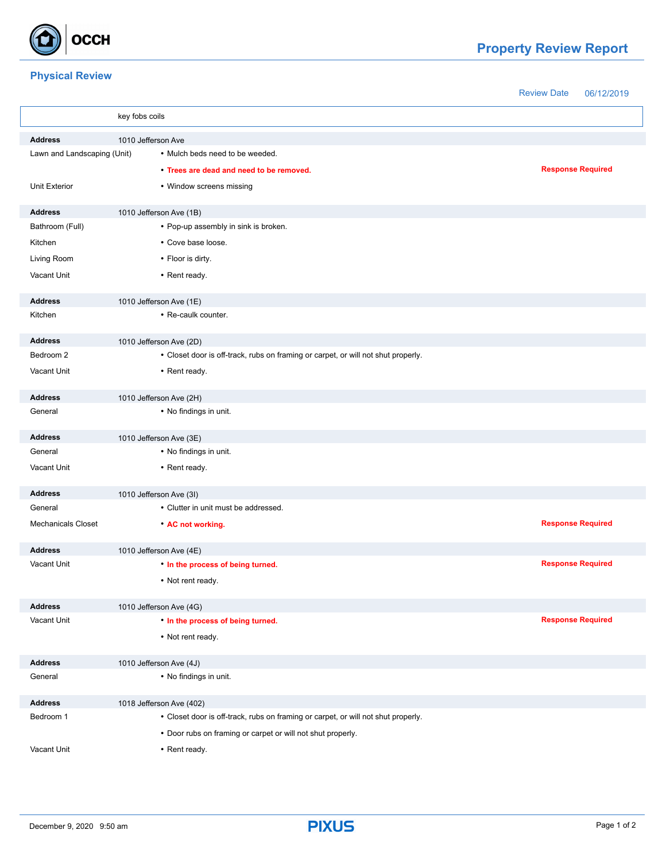

## **Property Review Report**

## **Physical Review**

Review Date 06/12/2019

|                                      | key fobs coils                                                                    |                          |  |
|--------------------------------------|-----------------------------------------------------------------------------------|--------------------------|--|
| <b>Address</b><br>1010 Jefferson Ave |                                                                                   |                          |  |
| Lawn and Landscaping (Unit)          | • Mulch beds need to be weeded.                                                   |                          |  |
|                                      | • Trees are dead and need to be removed.                                          | <b>Response Required</b> |  |
| <b>Unit Exterior</b>                 | • Window screens missing                                                          |                          |  |
| <b>Address</b>                       | 1010 Jefferson Ave (1B)                                                           |                          |  |
| Bathroom (Full)                      | • Pop-up assembly in sink is broken.                                              |                          |  |
| Kitchen                              | • Cove base loose.                                                                |                          |  |
| Living Room                          | • Floor is dirty.                                                                 |                          |  |
| Vacant Unit                          | • Rent ready.                                                                     |                          |  |
| <b>Address</b>                       | 1010 Jefferson Ave (1E)                                                           |                          |  |
| Kitchen                              | • Re-caulk counter.                                                               |                          |  |
| <b>Address</b>                       | 1010 Jefferson Ave (2D)                                                           |                          |  |
| Bedroom 2                            | • Closet door is off-track, rubs on framing or carpet, or will not shut properly. |                          |  |
| Vacant Unit                          | • Rent ready.                                                                     |                          |  |
| <b>Address</b>                       | 1010 Jefferson Ave (2H)                                                           |                          |  |
| General                              | • No findings in unit.                                                            |                          |  |
| <b>Address</b>                       | 1010 Jefferson Ave (3E)                                                           |                          |  |
| General                              | • No findings in unit.                                                            |                          |  |
| Vacant Unit                          | • Rent ready.                                                                     |                          |  |
| <b>Address</b>                       | 1010 Jefferson Ave (3I)                                                           |                          |  |
| General                              | • Clutter in unit must be addressed.                                              |                          |  |
| <b>Mechanicals Closet</b>            | • AC not working.                                                                 | <b>Response Required</b> |  |
| <b>Address</b>                       | 1010 Jefferson Ave (4E)                                                           |                          |  |
| Vacant Unit                          | . In the process of being turned.                                                 | <b>Response Required</b> |  |
|                                      | • Not rent ready.                                                                 |                          |  |
| <b>Address</b>                       | 1010 Jefferson Ave (4G)                                                           |                          |  |
| Vacant Unit                          | . In the process of being turned.                                                 | <b>Response Required</b> |  |
|                                      | • Not rent ready.                                                                 |                          |  |
| <b>Address</b>                       | 1010 Jefferson Ave (4J)                                                           |                          |  |
| General                              | • No findings in unit.                                                            |                          |  |
| <b>Address</b>                       | 1018 Jefferson Ave (402)                                                          |                          |  |
| Bedroom 1                            | • Closet door is off-track, rubs on framing or carpet, or will not shut properly. |                          |  |
|                                      | • Door rubs on framing or carpet or will not shut properly.                       |                          |  |
| Vacant Unit                          | • Rent ready.                                                                     |                          |  |